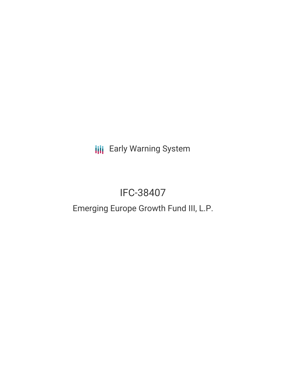**III** Early Warning System

# IFC-38407

## Emerging Europe Growth Fund III, L.P.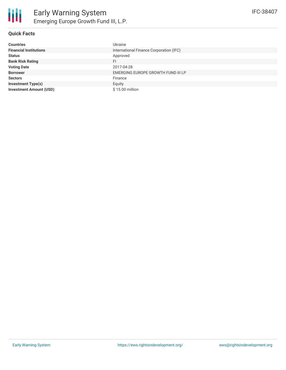### **Quick Facts**

| <b>Countries</b>               | Ukraine                                 |
|--------------------------------|-----------------------------------------|
| <b>Financial Institutions</b>  | International Finance Corporation (IFC) |
| <b>Status</b>                  | Approved                                |
| <b>Bank Risk Rating</b>        | FI                                      |
| <b>Voting Date</b>             | 2017-04-28                              |
| <b>Borrower</b>                | EMERGING EUROPE GROWTH FUND III LP      |
| <b>Sectors</b>                 | Finance                                 |
| <b>Investment Type(s)</b>      | Equity                                  |
| <b>Investment Amount (USD)</b> | \$15.00 million                         |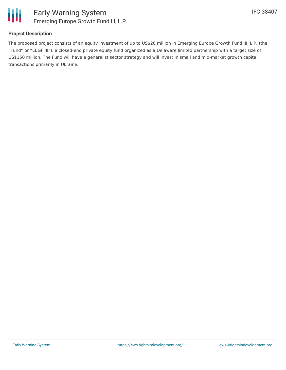

#### **Project Description**

The proposed project consists of an equity investment of up to US\$20 million in Emerging Europe Growth Fund III, L.P. (the "Fund" or "EEGF III"), a closed-end private equity fund organized as a Delaware limited partnership with a target size of US\$150 million. The Fund will have a generalist sector strategy and will invest in small and mid-market growth capital transactions primarily in Ukraine.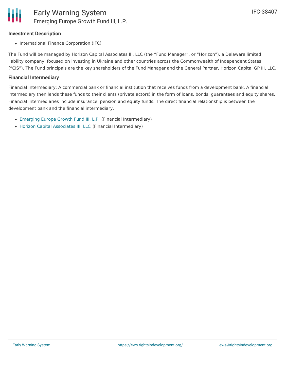#### **Investment Description**

• International Finance Corporation (IFC)

The Fund will be managed by Horizon Capital Associates III, LLC (the "Fund Manager", or "Horizon"), a Delaware limited liability company, focused on investing in Ukraine and other countries across the Commonwealth of Independent States ("CIS"). The Fund principals are the key shareholders of the Fund Manager and the General Partner, Horizon Capital GP III, LLC.

#### **Financial Intermediary**

Financial Intermediary: A commercial bank or financial institution that receives funds from a development bank. A financial intermediary then lends these funds to their clients (private actors) in the form of loans, bonds, guarantees and equity shares. Financial intermediaries include insurance, pension and equity funds. The direct financial relationship is between the development bank and the financial intermediary.

- [Emerging](file:///actor/1244/) Europe Growth Fund III, L.P. (Financial Intermediary)
- Horizon Capital [Associates](file:///actor/1245/) III, LLC (Financial Intermediary)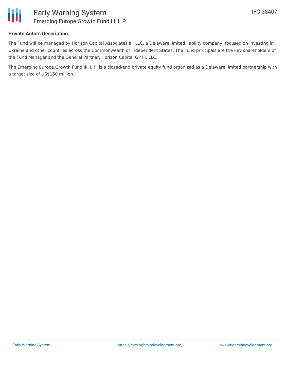

#### **Private Actors Description**

The Fund will be managed by Horizon Capital Associates III, LLC, a Delaware limited liability company, focused on investing in Ukraine and other countries across the Commonwealth of Independent States. The Fund principals are the key shareholders of the Fund Manager and the General Partner, Horizon Capital GP III, LLC.

The Emerging Europe Growth Fund III, L.P. is a closed-end private equity fund organized as a Delaware limited partnership with a target size of US\$150 million.